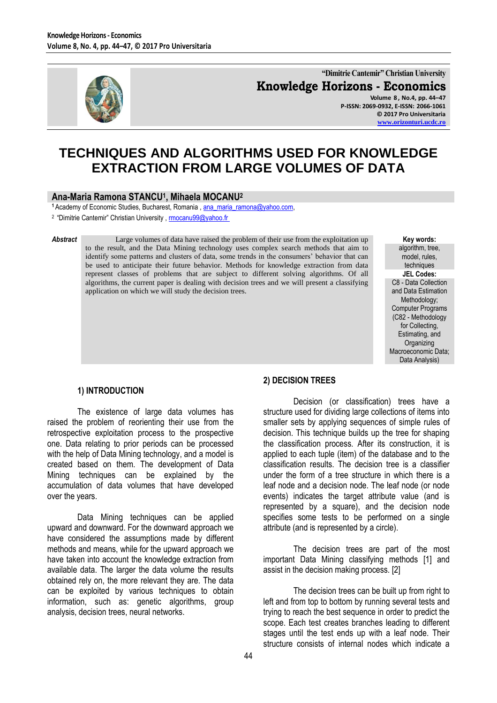

**"Dimitrie Cantemir" Christian University Knowledge Horizons - Economics Volume 8 , No.4, pp. 44–47**

**P-ISSN: 2069-0932, E-ISSN: 2066-1061 © 2017 Pro Universitaria [www.orizonturi.ucdc.ro](http://www.orizonturi.ucdc.ro/)**

# **TECHNIQUES AND ALGORITHMS USED FOR KNOWLEDGE EXTRACTION FROM LARGE VOLUMES OF DATA**

# **Ana-Maria Ramona STANCU<sup>1</sup> , Mihaela MOCANU<sup>2</sup>**

1 Academy of Economic Studies, Bucharest, Romania[, ana\\_maria\\_ramona@yahoo.com,](mailto:ana_maria_ramona@yahoo.com)

<sup>2</sup> "Dimitrie Cantemir" Christian University , mocanu99@yahoo.fr

**Abstract** Large volumes of data have raised the problem of their use from the exploitation up to the result, and the Data Mining technology uses complex search methods that aim to identify some patterns and clusters of data, some trends in the consumers' behavior that can be used to anticipate their future behavior. Methods for knowledge extraction from data represent classes of problems that are subject to different solving algorithms. Of all algorithms, the current paper is dealing with decision trees and we will present a classifying application on which we will study the decision trees.

**Key words:** algorithm, tree, model, rules, techniques **JEL Codes:** C8 - Data Collection and Data Estimation Methodology; Computer Programs (C82 - Methodology for Collecting, Estimating, and **Organizing** Macroeconomic Data; Data Analysis)

#### **1) INTRODUCTION**

The existence of large data volumes has raised the problem of reorienting their use from the retrospective exploitation process to the prospective one. Data relating to prior periods can be processed with the help of Data Mining technology, and a model is created based on them. The development of Data Mining techniques can be explained by the accumulation of data volumes that have developed over the years.

Data Mining techniques can be applied upward and downward. For the downward approach we have considered the assumptions made by different methods and means, while for the upward approach we have taken into account the knowledge extraction from available data. The larger the data volume the results obtained rely on, the more relevant they are. The data can be exploited by various techniques to obtain information, such as: genetic algorithms, group analysis, decision trees, neural networks.

## **2) DECISION TREES**

Decision (or classification) trees have a structure used for dividing large collections of items into smaller sets by applying sequences of simple rules of decision. This technique builds up the tree for shaping the classification process. After its construction, it is applied to each tuple (item) of the database and to the classification results. The decision tree is a classifier under the form of a tree structure in which there is a leaf node and a decision node. The leaf node (or node events) indicates the target attribute value (and is represented by a square), and the decision node specifies some tests to be performed on a single attribute (and is represented by a circle).

The decision trees are part of the most important Data Mining classifying methods [1] and assist in the decision making process. [2]

The decision trees can be built up from right to left and from top to bottom by running several tests and trying to reach the best sequence in order to predict the scope. Each test creates branches leading to different stages until the test ends up with a leaf node. Their structure consists of internal nodes which indicate a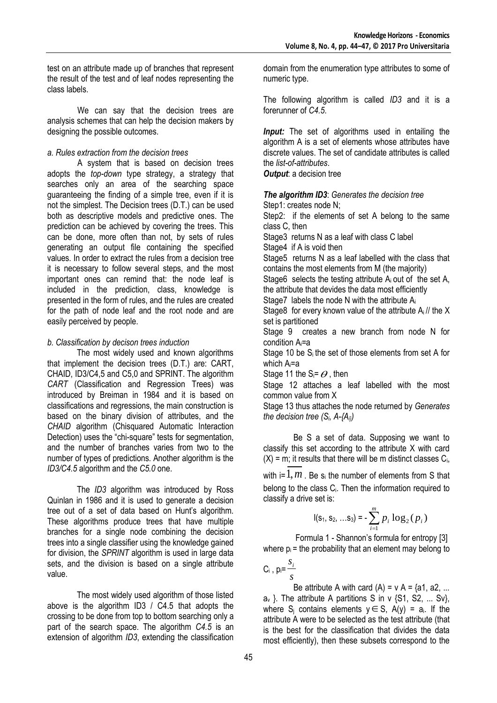test on an attribute made up of branches that represent the result of the test and of leaf nodes representing the class labels.

We can say that the decision trees are analysis schemes that can help the decision makers by designing the possible outcomes.

#### *a. Rules extraction from the decision trees*

A system that is based on decision trees adopts the *top-down* type strategy, a strategy that searches only an area of the searching space guaranteeing the finding of a simple tree, even if it is not the simplest. The Decision trees (D.T.) can be used both as descriptive models and predictive ones. The prediction can be achieved by covering the trees. This can be done, more often than not, by sets of rules generating an output file containing the specified values. In order to extract the rules from a decision tree it is necessary to follow several steps, and the most important ones can remind that: the node leaf is included in the prediction, class, knowledge is presented in the form of rules, and the rules are created for the path of node leaf and the root node and are easily perceived by people.

## *b. Classification by decison trees induction*

The most widely used and known algorithms that implement the decision trees (D.T.) are: CART, CHAID, ID3/C4,5 and C5,0 and SPRINT. The algorithm *CART* (Classification and Regression Trees) was introduced by Breiman in 1984 and it is based on classifications and regressions, the main construction is based on the binary division of attributes, and the *CHAID* algorithm (Chisquared Automatic Interaction Detection) uses the "chi-square" tests for segmentation, and the number of branches varies from two to the number of types of predictions. Another algorithm is the *ID3/C4.5* algorithm and the *C5.0* one.

The *ID3* algorithm was introduced by Ross Quinlan in 1986 and it is used to generate a decision tree out of a set of data based on Hunt's algorithm. These algorithms produce trees that have multiple branches for a single node combining the decision trees into a single classifier using the knowledge gained for division, the *SPRINT* algorithm is used in large data sets, and the division is based on a single attribute value.

The most widely used algorithm of those listed above is the algorithm ID3 / C4.5 that adopts the crossing to be done from top to bottom searching only a part of the search space. The algorithm *C4.5* is an extension of algorithm *ID3*, extending the classification domain from the enumeration type attributes to some of numeric type.

The following algorithm is called *ID3* and it is a forerunner of *C4.5*.

*Input:* The set of algorithms used in entailing the algorithm A is a set of elements whose attributes have discrete values. The set of candidate attributes is called the *list-of-attributes*.

*Output*: a decision tree

*The algorithm ID3*: *Generates the decision tree*  Step1: creates node N;

Step2: if the elements of set A belong to the same class C, then

Stage3 returns N as a leaf with class C label

Stage4 if A is void then

Stage5 returns N as a leaf labelled with the class that contains the most elements from M (the majority)

Stage6 selects the testing attribute  $A_i$  out of the set A, the attribute that devides the data most efficiently

Stage7 labels the node N with the attribute A<sup>i</sup>

Stage8 for every known value of the attribute A<sub>i</sub>// the X set is partitioned

Stage 9 creates a new branch from node N for condition Ai=a

Stage 10 be  $S_i$  the set of those elements from set A for which Ai=a

Stage 11 the S<sub>i</sub>=  $\theta$  , then

Stage 12 attaches a leaf labelled with the most common value from X

Stage 13 thus attaches the node returned by *Generates the decision tree (Si, A-{Ai})*

Be S a set of data. Supposing we want to classify this set according to the attribute X with card  $(X)$  = m; it results that there will be m distinct classes  $C_i$ ,

with i=  $1,m$  . Be s<sub>i</sub> the number of elements from S that belong to the class C<sub>i</sub>. Then the information required to classify a drive set is:

$$
I(\mathsf{s}_1, \mathsf{s}_2, \ldots \mathsf{s}_3) = \sum_{i=1}^m p_i \log_2(p_i)
$$

Formula 1 - Shannon's formula for entropy [3] where  $p_i$  = the probability that an element may belong to

$$
C_i, p_i = \frac{s_i}{s}
$$

Be attribute A with card  $(A) = v A = \{a1, a2, \dots\}$  $a_v$  }. The attribute A partitions S in v  $\{S1, S2, \dots Sv\}$ , where S<sub>j</sub> contains elements  $y \in S$ , A(y) = a<sub>i</sub>. If the attribute A were to be selected as the test attribute (that is the best for the classification that divides the data most efficiently), then these subsets correspond to the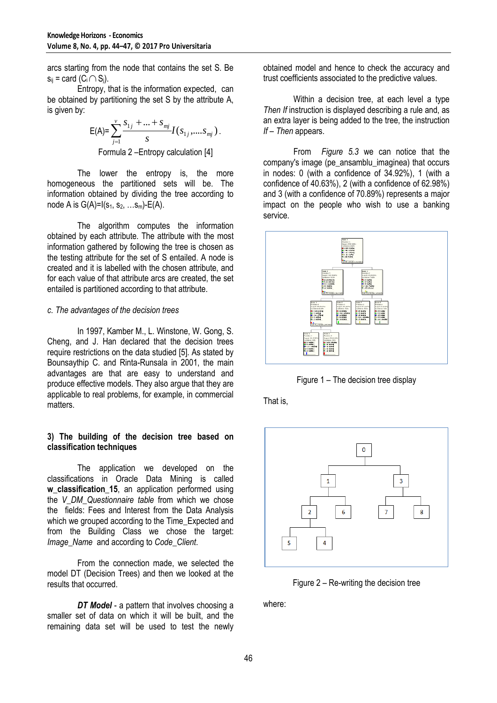arcs starting from the node that contains the set S. Be  $s_{ij}$  = card (C<sub>i</sub> $\bigcap S_j$ ).

Entropy, that is the information expected, can be obtained by partitioning the set S by the attribute A, is given by:

$$
E(A) = \sum_{j=1}^{v} \frac{s_{1j} + \dots + s_{mj}}{s} I(s_{1j}, \dots, s_{mj}).
$$
  
Formula 2–Entropy calculation [4]

The lower the entropy is, the more homogeneous the partitioned sets will be. The information obtained by dividing the tree according to node A is  $G(A)=I(s_1, s_2, ... s_m)-E(A)$ .

The algorithm computes the information obtained by each attribute. The attribute with the most information gathered by following the tree is chosen as the testing attribute for the set of S entailed. A node is created and it is labelled with the chosen attribute, and for each value of that attribute arcs are created, the set entailed is partitioned according to that attribute.

#### *c. The advantages of the decision trees*

In 1997, Kamber M., L. Winstone, W. Gong, S. Cheng, and J. Han declared that the decision trees require restrictions on the data studied [5]. As stated by Bounsaythip C. and Rinta-Runsala in 2001, the main advantages are that are easy to understand and produce effective models. They also argue that they are applicable to real problems, for example, in commercial matters.

#### **3) The building of the decision tree based on classification techniques**

The application we developed on the classifications in Oracle Data Mining is called w classification 15, an application performed using the *V\_DM\_Questionnaire table* from which we chose the fields: Fees and Interest from the Data Analysis which we grouped according to the Time\_Expected and from the Building Class we chose the target: *Image\_Name* and according to *Code\_Client*.

From the connection made, we selected the model DT (Decision Trees) and then we looked at the results that occurred.

*DT Model* - a pattern that involves choosing a smaller set of data on which it will be built, and the remaining data set will be used to test the newly

obtained model and hence to check the accuracy and trust coefficients associated to the predictive values.

Within a decision tree, at each level a type *Then If instruction is displayed describing a rule and, as* an extra layer is being added to the tree, the instruction *If – Then* appears.

From *Figure 5.3* we can notice that the company's image (pe\_ansamblu\_imaginea) that occurs in nodes: 0 (with a confidence of 34.92%), 1 (with a confidence of 40.63%), 2 (with a confidence of 62.98%) and 3 (with a confidence of 70.89%) represents a major impact on the people who wish to use a banking service.



Figure 1 – The decision tree display

That is,



Figure 2 – Re-writing the decision tree

where: